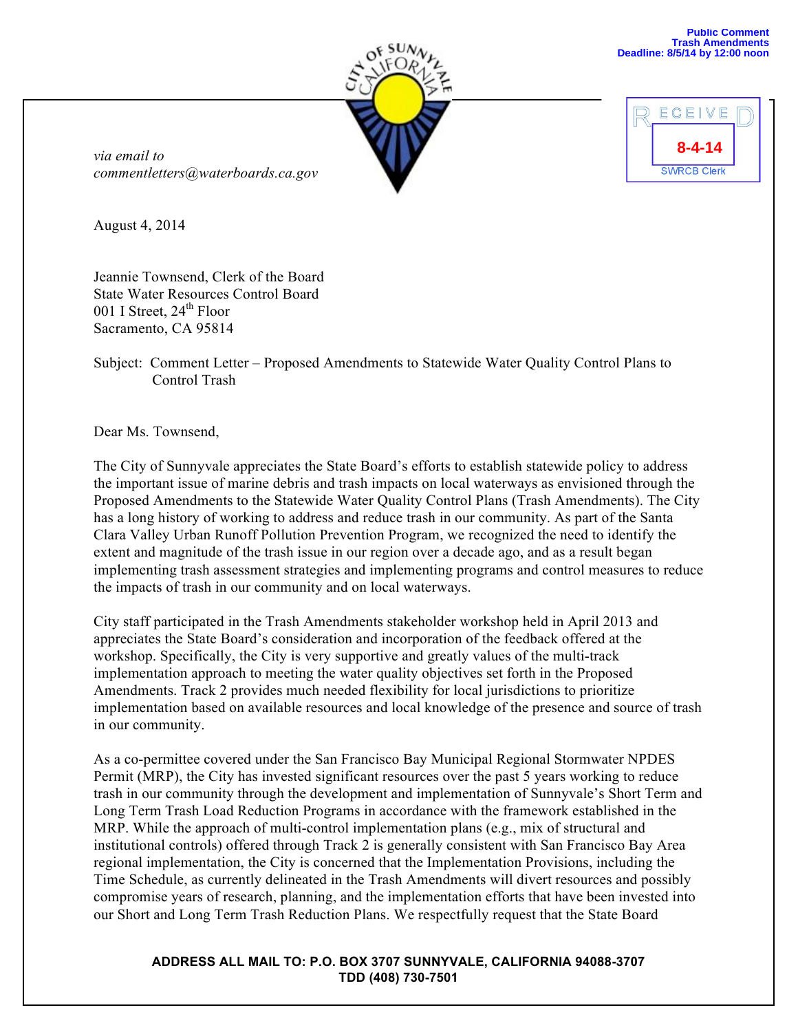| <b>SUNNY</b> |  |
|--------------|--|
|              |  |
|              |  |
|              |  |



*via email to commentletters@waterboards.ca.gov*

August 4, 2014

Jeannie Townsend, Clerk of the Board State Water Resources Control Board 001 I Street,  $24<sup>th</sup>$  Floor Sacramento, CA 95814

Subject: Comment Letter – Proposed Amendments to Statewide Water Quality Control Plans to Control Trash

Dear Ms. Townsend,

The City of Sunnyvale appreciates the State Board's efforts to establish statewide policy to address the important issue of marine debris and trash impacts on local waterways as envisioned through the Proposed Amendments to the Statewide Water Quality Control Plans (Trash Amendments). The City has a long history of working to address and reduce trash in our community. As part of the Santa Clara Valley Urban Runoff Pollution Prevention Program, we recognized the need to identify the extent and magnitude of the trash issue in our region over a decade ago, and as a result began implementing trash assessment strategies and implementing programs and control measures to reduce the impacts of trash in our community and on local waterways.

City staff participated in the Trash Amendments stakeholder workshop held in April 2013 and appreciates the State Board's consideration and incorporation of the feedback offered at the workshop. Specifically, the City is very supportive and greatly values of the multi-track implementation approach to meeting the water quality objectives set forth in the Proposed Amendments. Track 2 provides much needed flexibility for local jurisdictions to prioritize implementation based on available resources and local knowledge of the presence and source of trash in our community.

As a co-permittee covered under the San Francisco Bay Municipal Regional Stormwater NPDES Permit (MRP), the City has invested significant resources over the past 5 years working to reduce trash in our community through the development and implementation of Sunnyvale's Short Term and Long Term Trash Load Reduction Programs in accordance with the framework established in the MRP. While the approach of multi-control implementation plans (e.g., mix of structural and institutional controls) offered through Track 2 is generally consistent with San Francisco Bay Area regional implementation, the City is concerned that the Implementation Provisions, including the Time Schedule, as currently delineated in the Trash Amendments will divert resources and possibly compromise years of research, planning, and the implementation efforts that have been invested into our Short and Long Term Trash Reduction Plans. We respectfully request that the State Board

## **ADDRESS ALL MAIL TO: P.O. BOX 3707 SUNNYVALE, CALIFORNIA 94088-3707 TDD (408) 730-7501**